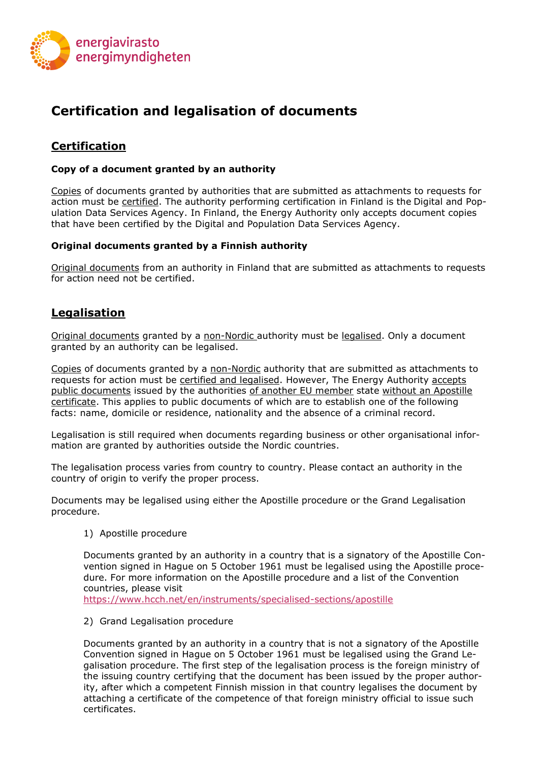

# **Certification and legalisation of documents**

## **Certification**

#### **Copy of a document granted by an authority**

Copies of documents granted by authorities that are submitted as attachments to requests for action must be certified. The authority performing certification in Finland is the Digital and Population Data Services Agency. In Finland, the Energy Authority only accepts document copies that have been certified by the Digital and Population Data Services Agency.

#### **Original documents granted by a Finnish authority**

Original documents from an authority in Finland that are submitted as attachments to requests for action need not be certified.

### **Legalisation**

Original documents granted by a non-Nordic authority must be legalised. Only a document granted by an authority can be legalised.

Copies of documents granted by a non-Nordic authority that are submitted as attachments to requests for action must be certified and legalised. However, The Energy Authority accepts public documents issued by the authorities of another EU member state without an Apostille certificate. This applies to public documents of which are to establish one of the following facts: name, domicile or residence, nationality and the absence of a criminal record.

Legalisation is still required when documents regarding business or other organisational information are granted by authorities outside the Nordic countries.

The legalisation process varies from country to country. Please contact an authority in the country of origin to verify the proper process.

Documents may be legalised using either the Apostille procedure or the Grand Legalisation procedure.

#### 1) Apostille procedure

Documents granted by an authority in a country that is a signatory of the Apostille Convention signed in Hague on 5 October 1961 must be legalised using the Apostille procedure. For more information on the Apostille procedure and a list of the Convention countries, please visit

<https://www.hcch.net/en/instruments/specialised-sections/apostille>

2) Grand Legalisation procedure

Documents granted by an authority in a country that is not a signatory of the Apostille Convention signed in Hague on 5 October 1961 must be legalised using the Grand Legalisation procedure. The first step of the legalisation process is the foreign ministry of the issuing country certifying that the document has been issued by the proper authority, after which a competent Finnish mission in that country legalises the document by attaching a certificate of the competence of that foreign ministry official to issue such certificates.